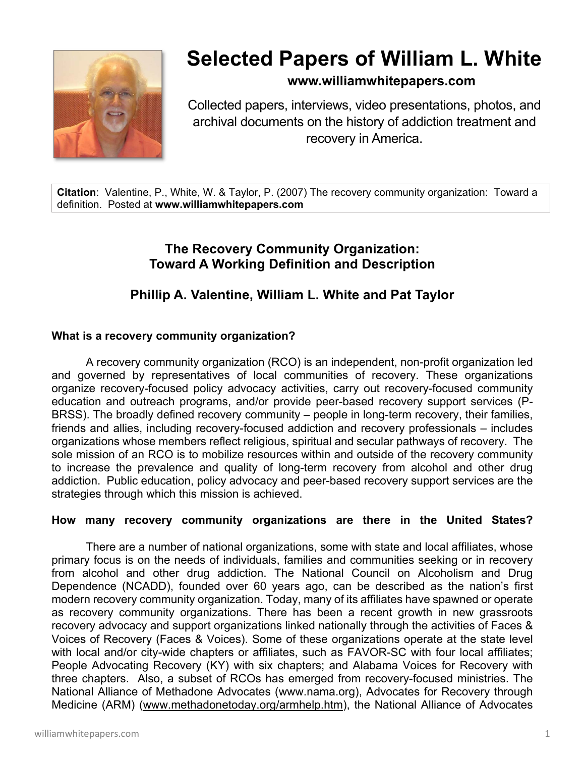

# **Selected Papers of William L. White**

# **www.williamwhitepapers.com**

Collected papers, interviews, video presentations, photos, and archival documents on the history of addiction treatment and recovery in America.

**Citation**: Valentine, P., White, W. & Taylor, P. (2007) The recovery community organization: Toward a definition. Posted at **www.williamwhitepapers.com** 

# **The Recovery Community Organization: Toward A Working Definition and Description**

# **Phillip A. Valentine, William L. White and Pat Taylor**

## **What is a recovery community organization?**

 A recovery community organization (RCO) is an independent, non-profit organization led and governed by representatives of local communities of recovery. These organizations organize recovery-focused policy advocacy activities, carry out recovery-focused community education and outreach programs, and/or provide peer-based recovery support services (P-BRSS). The broadly defined recovery community – people in long-term recovery, their families, friends and allies, including recovery-focused addiction and recovery professionals – includes organizations whose members reflect religious, spiritual and secular pathways of recovery. The sole mission of an RCO is to mobilize resources within and outside of the recovery community to increase the prevalence and quality of long-term recovery from alcohol and other drug addiction. Public education, policy advocacy and peer-based recovery support services are the strategies through which this mission is achieved.

## **How many recovery community organizations are there in the United States?**

 There are a number of national organizations, some with state and local affiliates, whose primary focus is on the needs of individuals, families and communities seeking or in recovery from alcohol and other drug addiction. The National Council on Alcoholism and Drug Dependence (NCADD), founded over 60 years ago, can be described as the nation's first modern recovery community organization. Today, many of its affiliates have spawned or operate as recovery community organizations. There has been a recent growth in new grassroots recovery advocacy and support organizations linked nationally through the activities of Faces & Voices of Recovery (Faces & Voices). Some of these organizations operate at the state level with local and/or city-wide chapters or affiliates, such as FAVOR-SC with four local affiliates; People Advocating Recovery (KY) with six chapters; and Alabama Voices for Recovery with three chapters. Also, a subset of RCOs has emerged from recovery-focused ministries. The National Alliance of Methadone Advocates (www.nama.org), Advocates for Recovery through Medicine (ARM) (www.methadonetoday.org/armhelp.htm), the National Alliance of Advocates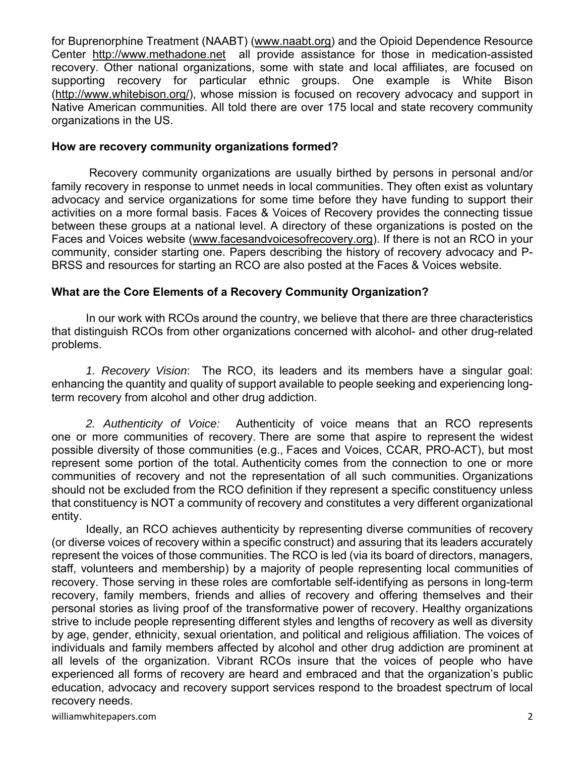for Buprenorphine Treatment (NAABT) (www.naabt.org) and the Opioid Dependence Resource Center http://www.methadone.net all provide assistance for those in medication-assisted recovery. Other national organizations, some with state and local affiliates, are focused on supporting recovery for particular ethnic groups. One example is White Bison (http://www.whitebison.org/), whose mission is focused on recovery advocacy and support in Native American communities. All told there are over 175 local and state recovery community organizations in the US.

#### **How are recovery community organizations formed?**

 Recovery community organizations are usually birthed by persons in personal and/or family recovery in response to unmet needs in local communities. They often exist as voluntary advocacy and service organizations for some time before they have funding to support their activities on a more formal basis. Faces & Voices of Recovery provides the connecting tissue between these groups at a national level. A directory of these organizations is posted on the Faces and Voices website (www.facesandvoicesofrecovery.org). If there is not an RCO in your community, consider starting one. Papers describing the history of recovery advocacy and P-BRSS and resources for starting an RCO are also posted at the Faces & Voices website.

## **What are the Core Elements of a Recovery Community Organization?**

 In our work with RCOs around the country, we believe that there are three characteristics that distinguish RCOs from other organizations concerned with alcohol- and other drug-related problems.

 *1. Recovery Vision*: The RCO, its leaders and its members have a singular goal: enhancing the quantity and quality of support available to people seeking and experiencing longterm recovery from alcohol and other drug addiction.

 *2. Authenticity of Voice:* Authenticity of voice means that an RCO represents one or more communities of recovery. There are some that aspire to represent the widest possible diversity of those communities (e.g., Faces and Voices, CCAR, PRO-ACT), but most represent some portion of the total. Authenticity comes from the connection to one or more communities of recovery and not the representation of all such communities. Organizations should not be excluded from the RCO definition if they represent a specific constituency unless that constituency is NOT a community of recovery and constitutes a very different organizational entity.

Ideally, an RCO achieves authenticity by representing diverse communities of recovery (or diverse voices of recovery within a specific construct) and assuring that its leaders accurately represent the voices of those communities. The RCO is led (via its board of directors, managers, staff, volunteers and membership) by a majority of people representing local communities of recovery. Those serving in these roles are comfortable self-identifying as persons in long-term recovery, family members, friends and allies of recovery and offering themselves and their personal stories as living proof of the transformative power of recovery. Healthy organizations strive to include people representing different styles and lengths of recovery as well as diversity by age, gender, ethnicity, sexual orientation, and political and religious affiliation. The voices of individuals and family members affected by alcohol and other drug addiction are prominent at all levels of the organization. Vibrant RCOs insure that the voices of people who have experienced all forms of recovery are heard and embraced and that the organization's public education, advocacy and recovery support services respond to the broadest spectrum of local recovery needs.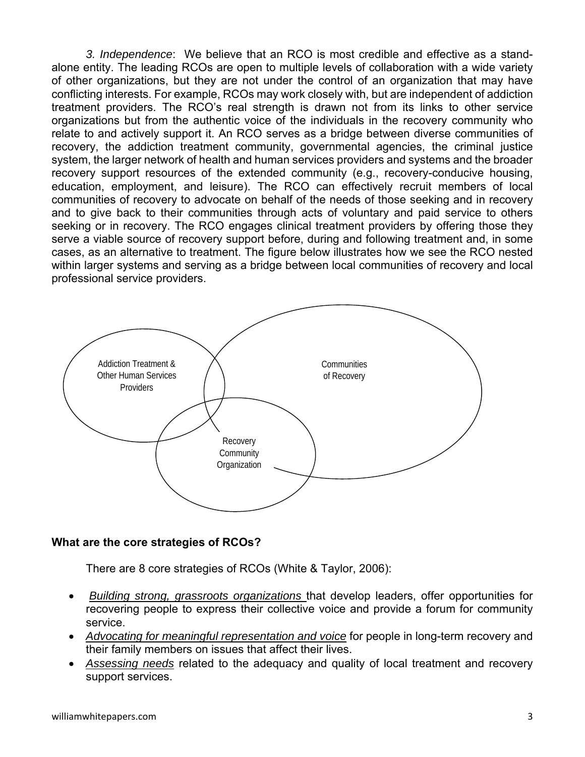*3. Independence*: We believe that an RCO is most credible and effective as a standalone entity. The leading RCOs are open to multiple levels of collaboration with a wide variety of other organizations, but they are not under the control of an organization that may have conflicting interests. For example, RCOs may work closely with, but are independent of addiction treatment providers. The RCO's real strength is drawn not from its links to other service organizations but from the authentic voice of the individuals in the recovery community who relate to and actively support it. An RCO serves as a bridge between diverse communities of recovery, the addiction treatment community, governmental agencies, the criminal justice system, the larger network of health and human services providers and systems and the broader recovery support resources of the extended community (e.g., recovery-conducive housing, education, employment, and leisure). The RCO can effectively recruit members of local communities of recovery to advocate on behalf of the needs of those seeking and in recovery and to give back to their communities through acts of voluntary and paid service to others seeking or in recovery. The RCO engages clinical treatment providers by offering those they serve a viable source of recovery support before, during and following treatment and, in some cases, as an alternative to treatment. The figure below illustrates how we see the RCO nested within larger systems and serving as a bridge between local communities of recovery and local professional service providers.



## **What are the core strategies of RCOs?**

There are 8 core strategies of RCOs (White & Taylor, 2006):

- *Building strong, grassroots organizations* that develop leaders, offer opportunities for recovering people to express their collective voice and provide a forum for community service.
- *Advocating for meaningful representation and voice* for people in long-term recovery and their family members on issues that affect their lives.
- *Assessing needs* related to the adequacy and quality of local treatment and recovery support services.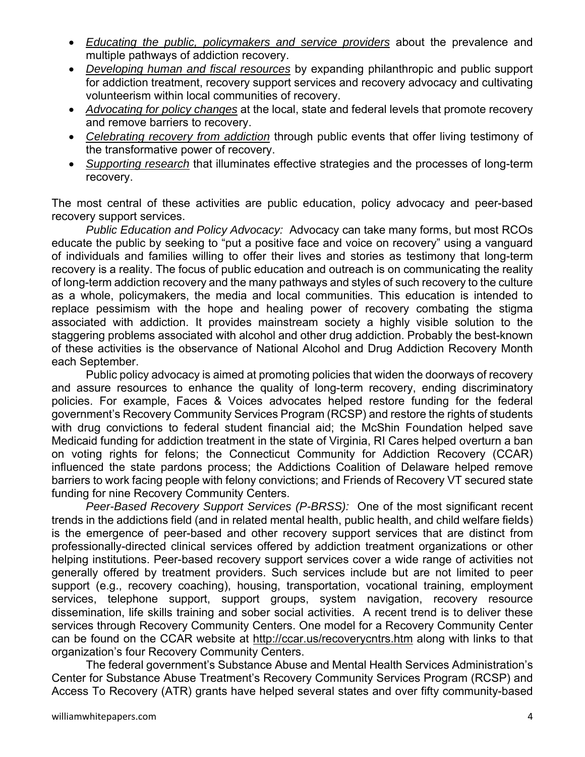- *Educating the public, policymakers and service providers* about the prevalence and multiple pathways of addiction recovery.
- *Developing human and fiscal resources* by expanding philanthropic and public support for addiction treatment, recovery support services and recovery advocacy and cultivating volunteerism within local communities of recovery.
- *Advocating for policy changes* at the local, state and federal levels that promote recovery and remove barriers to recovery.
- *Celebrating recovery from addiction* through public events that offer living testimony of the transformative power of recovery.
- *Supporting research* that illuminates effective strategies and the processes of long-term recovery.

The most central of these activities are public education, policy advocacy and peer-based recovery support services.

 *Public Education and Policy Advocacy:* Advocacy can take many forms, but most RCOs educate the public by seeking to "put a positive face and voice on recovery" using a vanguard of individuals and families willing to offer their lives and stories as testimony that long-term recovery is a reality. The focus of public education and outreach is on communicating the reality of long-term addiction recovery and the many pathways and styles of such recovery to the culture as a whole, policymakers, the media and local communities. This education is intended to replace pessimism with the hope and healing power of recovery combating the stigma associated with addiction. It provides mainstream society a highly visible solution to the staggering problems associated with alcohol and other drug addiction. Probably the best-known of these activities is the observance of National Alcohol and Drug Addiction Recovery Month each September.

 Public policy advocacy is aimed at promoting policies that widen the doorways of recovery and assure resources to enhance the quality of long-term recovery, ending discriminatory policies. For example, Faces & Voices advocates helped restore funding for the federal government's Recovery Community Services Program (RCSP) and restore the rights of students with drug convictions to federal student financial aid; the McShin Foundation helped save Medicaid funding for addiction treatment in the state of Virginia, RI Cares helped overturn a ban on voting rights for felons; the Connecticut Community for Addiction Recovery (CCAR) influenced the state pardons process; the Addictions Coalition of Delaware helped remove barriers to work facing people with felony convictions; and Friends of Recovery VT secured state funding for nine Recovery Community Centers.

 *Peer-Based Recovery Support Services (P-BRSS):* One of the most significant recent trends in the addictions field (and in related mental health, public health, and child welfare fields) is the emergence of peer-based and other recovery support services that are distinct from professionally-directed clinical services offered by addiction treatment organizations or other helping institutions. Peer-based recovery support services cover a wide range of activities not generally offered by treatment providers. Such services include but are not limited to peer support (e.g., recovery coaching), housing, transportation, vocational training, employment services, telephone support, support groups, system navigation, recovery resource dissemination, life skills training and sober social activities. A recent trend is to deliver these services through Recovery Community Centers. One model for a Recovery Community Center can be found on the CCAR website at http://ccar.us/recoverycntrs.htm along with links to that organization's four Recovery Community Centers.

 The federal government's Substance Abuse and Mental Health Services Administration's Center for Substance Abuse Treatment's Recovery Community Services Program (RCSP) and Access To Recovery (ATR) grants have helped several states and over fifty community-based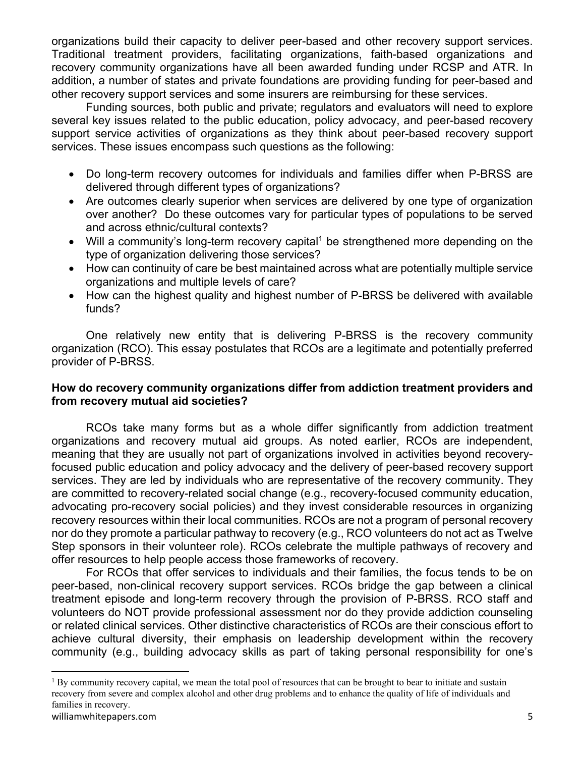organizations build their capacity to deliver peer-based and other recovery support services. Traditional treatment providers, facilitating organizations, faith-based organizations and recovery community organizations have all been awarded funding under RCSP and ATR. In addition, a number of states and private foundations are providing funding for peer-based and other recovery support services and some insurers are reimbursing for these services.

 Funding sources, both public and private; regulators and evaluators will need to explore several key issues related to the public education, policy advocacy, and peer-based recovery support service activities of organizations as they think about peer-based recovery support services. These issues encompass such questions as the following:

- Do long-term recovery outcomes for individuals and families differ when P-BRSS are delivered through different types of organizations?
- Are outcomes clearly superior when services are delivered by one type of organization over another? Do these outcomes vary for particular types of populations to be served and across ethnic/cultural contexts?
- $\bullet$  Will a community's long-term recovery capital<sup>1</sup> be strengthened more depending on the type of organization delivering those services?
- How can continuity of care be best maintained across what are potentially multiple service organizations and multiple levels of care?
- How can the highest quality and highest number of P-BRSS be delivered with available funds?

 One relatively new entity that is delivering P-BRSS is the recovery community organization (RCO). This essay postulates that RCOs are a legitimate and potentially preferred provider of P-BRSS.

## **How do recovery community organizations differ from addiction treatment providers and from recovery mutual aid societies?**

RCOs take many forms but as a whole differ significantly from addiction treatment organizations and recovery mutual aid groups. As noted earlier, RCOs are independent, meaning that they are usually not part of organizations involved in activities beyond recoveryfocused public education and policy advocacy and the delivery of peer-based recovery support services. They are led by individuals who are representative of the recovery community. They are committed to recovery-related social change (e.g., recovery-focused community education, advocating pro-recovery social policies) and they invest considerable resources in organizing recovery resources within their local communities. RCOs are not a program of personal recovery nor do they promote a particular pathway to recovery (e.g., RCO volunteers do not act as Twelve Step sponsors in their volunteer role). RCOs celebrate the multiple pathways of recovery and offer resources to help people access those frameworks of recovery.

For RCOs that offer services to individuals and their families, the focus tends to be on peer-based, non-clinical recovery support services. RCOs bridge the gap between a clinical treatment episode and long-term recovery through the provision of P-BRSS. RCO staff and volunteers do NOT provide professional assessment nor do they provide addiction counseling or related clinical services. Other distinctive characteristics of RCOs are their conscious effort to achieve cultural diversity, their emphasis on leadership development within the recovery community (e.g., building advocacy skills as part of taking personal responsibility for one's

<sup>&</sup>lt;sup>1</sup> By community recovery capital, we mean the total pool of resources that can be brought to bear to initiate and sustain recovery from severe and complex alcohol and other drug problems and to enhance the quality of life of individuals and families in recovery.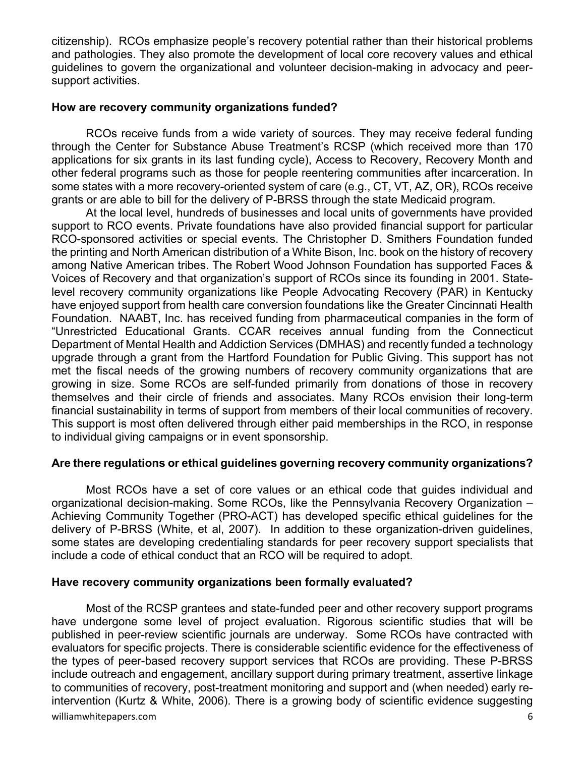citizenship). RCOs emphasize people's recovery potential rather than their historical problems and pathologies. They also promote the development of local core recovery values and ethical guidelines to govern the organizational and volunteer decision-making in advocacy and peersupport activities.

#### **How are recovery community organizations funded?**

 RCOs receive funds from a wide variety of sources. They may receive federal funding through the Center for Substance Abuse Treatment's RCSP (which received more than 170 applications for six grants in its last funding cycle), Access to Recovery, Recovery Month and other federal programs such as those for people reentering communities after incarceration. In some states with a more recovery-oriented system of care (e.g., CT, VT, AZ, OR), RCOs receive grants or are able to bill for the delivery of P-BRSS through the state Medicaid program.

 At the local level, hundreds of businesses and local units of governments have provided support to RCO events. Private foundations have also provided financial support for particular RCO-sponsored activities or special events. The Christopher D. Smithers Foundation funded the printing and North American distribution of a White Bison, Inc. book on the history of recovery among Native American tribes. The Robert Wood Johnson Foundation has supported Faces & Voices of Recovery and that organization's support of RCOs since its founding in 2001. Statelevel recovery community organizations like People Advocating Recovery (PAR) in Kentucky have enjoyed support from health care conversion foundations like the Greater Cincinnati Health Foundation. NAABT, Inc. has received funding from pharmaceutical companies in the form of "Unrestricted Educational Grants. CCAR receives annual funding from the Connecticut Department of Mental Health and Addiction Services (DMHAS) and recently funded a technology upgrade through a grant from the Hartford Foundation for Public Giving. This support has not met the fiscal needs of the growing numbers of recovery community organizations that are growing in size. Some RCOs are self-funded primarily from donations of those in recovery themselves and their circle of friends and associates. Many RCOs envision their long-term financial sustainability in terms of support from members of their local communities of recovery. This support is most often delivered through either paid memberships in the RCO, in response to individual giving campaigns or in event sponsorship.

## **Are there regulations or ethical guidelines governing recovery community organizations?**

 Most RCOs have a set of core values or an ethical code that guides individual and organizational decision-making. Some RCOs, like the Pennsylvania Recovery Organization – Achieving Community Together (PRO-ACT) has developed specific ethical guidelines for the delivery of P-BRSS (White, et al, 2007). In addition to these organization-driven guidelines, some states are developing credentialing standards for peer recovery support specialists that include a code of ethical conduct that an RCO will be required to adopt.

## **Have recovery community organizations been formally evaluated?**

williamwhitepapers.com 6 Most of the RCSP grantees and state-funded peer and other recovery support programs have undergone some level of project evaluation. Rigorous scientific studies that will be published in peer-review scientific journals are underway. Some RCOs have contracted with evaluators for specific projects. There is considerable scientific evidence for the effectiveness of the types of peer-based recovery support services that RCOs are providing. These P-BRSS include outreach and engagement, ancillary support during primary treatment, assertive linkage to communities of recovery, post-treatment monitoring and support and (when needed) early reintervention (Kurtz & White, 2006). There is a growing body of scientific evidence suggesting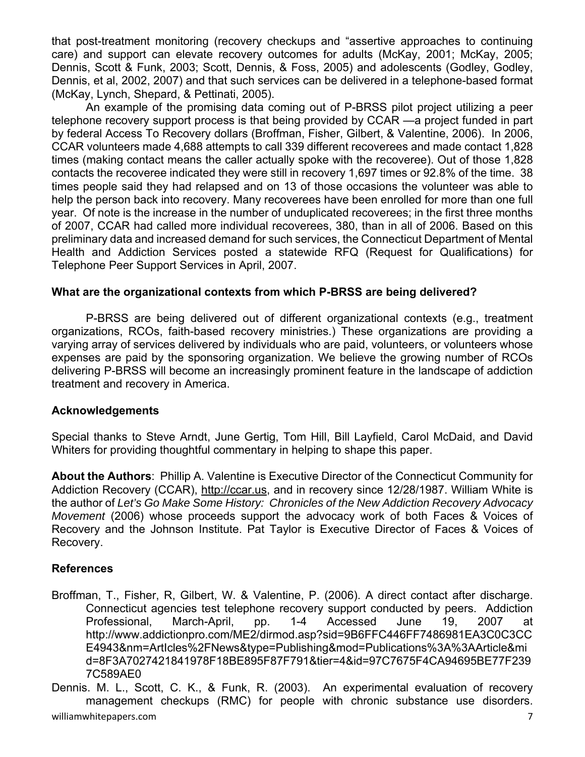that post-treatment monitoring (recovery checkups and "assertive approaches to continuing care) and support can elevate recovery outcomes for adults (McKay, 2001; McKay, 2005; Dennis, Scott & Funk, 2003; Scott, Dennis, & Foss, 2005) and adolescents (Godley, Godley, Dennis, et al, 2002, 2007) and that such services can be delivered in a telephone-based format (McKay, Lynch, Shepard, & Pettinati, 2005).

An example of the promising data coming out of P-BRSS pilot project utilizing a peer telephone recovery support process is that being provided by CCAR —a project funded in part by federal Access To Recovery dollars (Broffman, Fisher, Gilbert, & Valentine, 2006). In 2006, CCAR volunteers made 4,688 attempts to call 339 different recoverees and made contact 1,828 times (making contact means the caller actually spoke with the recoveree). Out of those 1,828 contacts the recoveree indicated they were still in recovery 1,697 times or 92.8% of the time. 38 times people said they had relapsed and on 13 of those occasions the volunteer was able to help the person back into recovery. Many recoverees have been enrolled for more than one full year. Of note is the increase in the number of unduplicated recoverees; in the first three months of 2007, CCAR had called more individual recoverees, 380, than in all of 2006. Based on this preliminary data and increased demand for such services, the Connecticut Department of Mental Health and Addiction Services posted a statewide RFQ (Request for Qualifications) for Telephone Peer Support Services in April, 2007.

#### **What are the organizational contexts from which P-BRSS are being delivered?**

 P-BRSS are being delivered out of different organizational contexts (e.g., treatment organizations, RCOs, faith-based recovery ministries.) These organizations are providing a varying array of services delivered by individuals who are paid, volunteers, or volunteers whose expenses are paid by the sponsoring organization. We believe the growing number of RCOs delivering P-BRSS will become an increasingly prominent feature in the landscape of addiction treatment and recovery in America.

## **Acknowledgements**

Special thanks to Steve Arndt, June Gertig, Tom Hill, Bill Layfield, Carol McDaid, and David Whiters for providing thoughtful commentary in helping to shape this paper.

**About the Authors**: Phillip A. Valentine is Executive Director of the Connecticut Community for Addiction Recovery (CCAR), http://ccar.us, and in recovery since 12/28/1987. William White is the author of *Let's Go Make Some History: Chronicles of the New Addiction Recovery Advocacy Movement* (2006) whose proceeds support the advocacy work of both Faces & Voices of Recovery and the Johnson Institute. Pat Taylor is Executive Director of Faces & Voices of Recovery.

#### **References**

Broffman, T., Fisher, R, Gilbert, W. & Valentine, P. (2006). A direct contact after discharge. Connecticut agencies test telephone recovery support conducted by peers. Addiction Professional, March-April, pp. 1-4 Accessed June 19, 2007 at http://www.addictionpro.com/ME2/dirmod.asp?sid=9B6FFC446FF7486981EA3C0C3CC E4943&nm=ArtIcles%2FNews&type=Publishing&mod=Publications%3A%3AArticle&mi d=8F3A7027421841978F18BE895F87F791&tier=4&id=97C7675F4CA94695BE77F239 7C589AE0

williamwhitepapers.com 7 Dennis. M. L., Scott, C. K., & Funk, R. (2003). An experimental evaluation of recovery management checkups (RMC) for people with chronic substance use disorders.